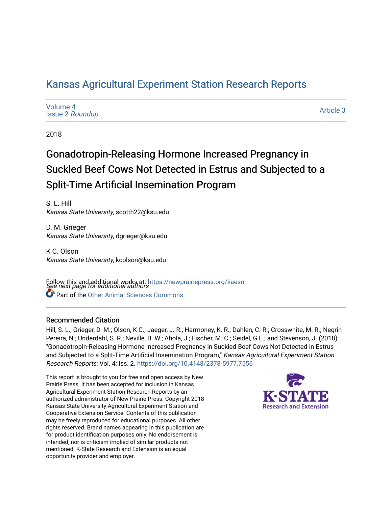## [Kansas Agricultural Experiment Station Research Reports](https://newprairiepress.org/kaesrr)

| Volume 4<br><b>Issue 2 Roundup</b> | Article 3 |
|------------------------------------|-----------|
|------------------------------------|-----------|

2018

## Gonadotropin-Releasing Hormone Increased Pregnancy in Suckled Beef Cows Not Detected in Estrus and Subjected to a Split-Time Artificial Insemination Program

S. L. Hill Kansas State University, scotth22@ksu.edu

D. M. Grieger Kansas State University, dgrieger@ksu.edu

K C. Olson Kansas State University, kcolson@ksu.edu

Follow this and additional works at: https://newprairiepress.org/kaesrr<br>See next page for additional authors **Part of the [Other Animal Sciences Commons](http://network.bepress.com/hgg/discipline/82?utm_source=newprairiepress.org%2Fkaesrr%2Fvol4%2Fiss2%2F3&utm_medium=PDF&utm_campaign=PDFCoverPages)** 

### Recommended Citation

Hill, S. L.; Grieger, D. M.; Olson, K C.; Jaeger, J. R.; Harmoney, K. R.; Dahlen, C. R.; Crosswhite, M. R.; Negrin Pereira, N.; Underdahl, S. R.; Neville, B. W.; Ahola, J.; Fischer, M. C.; Seidel, G E.; and Stevenson, J. (2018) "Gonadotropin-Releasing Hormone Increased Pregnancy in Suckled Beef Cows Not Detected in Estrus and Subjected to a Split-Time Artificial Insemination Program," Kansas Agricultural Experiment Station Research Reports: Vol. 4: Iss. 2.<https://doi.org/10.4148/2378-5977.7556>

This report is brought to you for free and open access by New Prairie Press. It has been accepted for inclusion in Kansas Agricultural Experiment Station Research Reports by an authorized administrator of New Prairie Press. Copyright 2018 Kansas State University Agricultural Experiment Station and Cooperative Extension Service. Contents of this publication may be freely reproduced for educational purposes. All other rights reserved. Brand names appearing in this publication are for product identification purposes only. No endorsement is intended, nor is criticism implied of similar products not mentioned. K-State Research and Extension is an equal opportunity provider and employer.

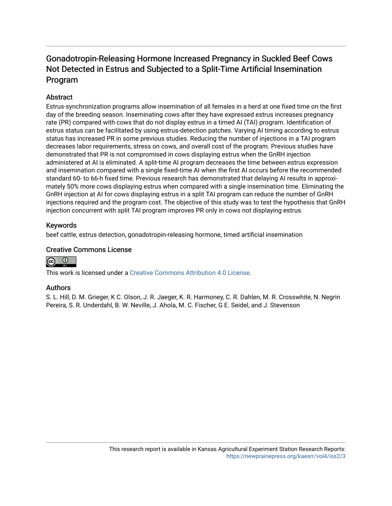## Gonadotropin-Releasing Hormone Increased Pregnancy in Suckled Beef Cows Not Detected in Estrus and Subjected to a Split-Time Artificial Insemination Program

## **Abstract**

Estrus-synchronization programs allow insemination of all females in a herd at one fixed time on the first day of the breeding season. Inseminating cows after they have expressed estrus increases pregnancy rate (PR) compared with cows that do not display estrus in a timed AI (TAI) program. Identification of estrus status can be facilitated by using estrus-detection patches. Varying AI timing according to estrus status has increased PR in some previous studies. Reducing the number of injections in a TAI program decreases labor requirements, stress on cows, and overall cost of the program. Previous studies have demonstrated that PR is not compromised in cows displaying estrus when the GnRH injection administered at AI is eliminated. A split-time AI program decreases the time between estrus expression and insemination compared with a single fixed-time AI when the first AI occurs before the recommended standard 60- to 66-h fixed time. Previous research has demonstrated that delaying AI results in approximately 50% more cows displaying estrus when compared with a single insemination time. Eliminating the GnRH injection at AI for cows displaying estrus in a split TAI program can reduce the number of GnRH injections required and the program cost. The objective of this study was to test the hypothesis that GnRH injection concurrent with split TAI program improves PR only in cows not displaying estrus.

### Keywords

beef cattle, estrus detection, gonadotropin-releasing hormone, timed artificial insemination

## Creative Commons License



This work is licensed under a [Creative Commons Attribution 4.0 License](https://creativecommons.org/licenses/by/4.0/).

### Authors

S. L. Hill, D. M. Grieger, K C. Olson, J. R. Jaeger, K. R. Harmoney, C. R. Dahlen, M. R. Crosswhite, N. Negrin Pereira, S. R. Underdahl, B. W. Neville, J. Ahola, M. C. Fischer, G E. Seidel, and J. Stevenson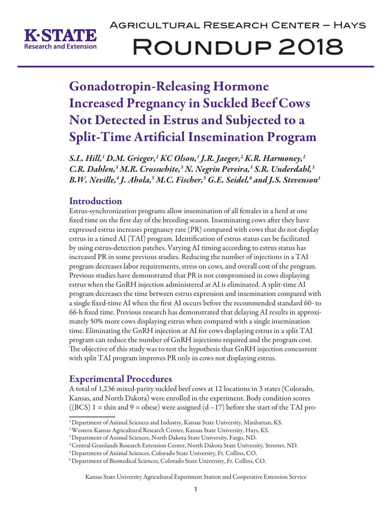

# Agricultural Research Center – Hays Roundup 2018

## Gonadotropin-Releasing Hormone Increased Pregnancy in Suckled Beef Cows Not Detected in Estrus and Subjected to a Split-Time Artificial Insemination Program

*S.L. Hill,1 D.M. Grieger,1 KC Olson,1 J.R. Jaeger,2 K.R. Harmoney,2 C.R. Dahlen,3 M.R. Crosswhite,3 N. Negrin Pereira,3 S.R. Underdahl,3 B.W. Neville,4 J. Ahola,5 M.C. Fischer,5 G.E. Seidel,6 and J.S. Stevenson1*

## Introduction

Estrus-synchronization programs allow insemination of all females in a herd at one fixed time on the first day of the breeding season. Inseminating cows after they have expressed estrus increases pregnancy rate (PR) compared with cows that do not display estrus in a timed AI (TAI) program. Identification of estrus status can be facilitated by using estrus-detection patches. Varying AI timing according to estrus status has increased PR in some previous studies. Reducing the number of injections in a TAI program decreases labor requirements, stress on cows, and overall cost of the program. Previous studies have demonstrated that PR is not compromised in cows displaying estrus when the GnRH injection administered at AI is eliminated. A split-time AI program decreases the time between estrus expression and insemination compared with a single fixed-time AI when the first AI occurs before the recommended standard 60- to 66-h fixed time. Previous research has demonstrated that delaying AI results in approximately 50% more cows displaying estrus when compared with a single insemination time. Eliminating the GnRH injection at AI for cows displaying estrus in a split TAI program can reduce the number of GnRH injections required and the program cost. The objective of this study was to test the hypothesis that GnRH injection concurrent with split TAI program improves PR only in cows not displaying estrus.

## Experimental Procedures

A total of 1,236 mixed-parity suckled beef cows at 12 locations in 3 states (Colorado, Kansas, and North Dakota) were enrolled in the experiment. Body condition scores  $((BCS) 1 =$  thin and 9 = obese) were assigned  $(d-17)$  before the start of the TAI pro-

<sup>&</sup>lt;sup>1</sup> Department of Animal Sciences and Industry, Kansas State University, Manhattan, KS.

<sup>2</sup> Western Kansas Agricultural Research Center, Kansas State University, Hays, KS.

<sup>3</sup> Department of Animal Sciences, North Dakota State University, Fargo, ND.

<sup>4</sup> Central Grasslands Research Extension Center, North Dakota State University, Streeter, ND.

<sup>5</sup> Department of Animal Sciences, Colorado State University, Ft. Collins, CO.

<sup>6</sup> Department of Biomedical Sciences, Colorado State University, Ft. Collins, CO.

Kansas State University Agricultural Experiment Station and Cooperative Extension Service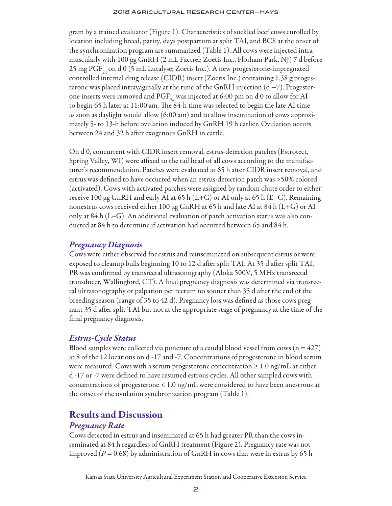#### 2018 Agricultural Research Center–Hays

gram by a trained evaluator (Figure 1). Characteristics of suckled beef cows enrolled by location including breed, parity, days postpartum at split TAI, and BCS at the onset of the synchronization program are summarized (Table 1). All cows were injected intramuscularly with 100 μg GnRH (2 mL Factrel; Zoetis Inc., Florham Park, NJ) 7 d before 25 mg PGF<sub>2</sub> on d 0 (5 mL Lutalyse; Zoetis Inc.). A new progesterone-impregnated controlled internal drug release (CIDR) insert (Zoetis Inc.) containing 1.38 g progesterone was placed intravaginally at the time of the GnRH injection (d −7). Progesterone inserts were removed and PGF<sub>2a</sub> was injected at 6:00 pm on d 0 to allow for AI to begin 65 h later at 11:00 am. The 84-h time was selected to begin the late AI time as soon as daylight would allow (6:00 am) and to allow insemination of cows approximately 5- to 13-h before ovulation induced by GnRH 19 h earlier. Ovulation occurs between 24 and 32 h after exogenous GnRH in cattle.

On d 0, concurrent with CIDR insert removal, estrus-detection patches (Estrotect, Spring Valley, WI) were affixed to the tail head of all cows according to the manufacturer's recommendation. Patches were evaluated at 65 h after CIDR insert removal, and estrus was defined to have occurred when an estrus-detection patch was >50% colored (activated). Cows with activated patches were assigned by random chute order to either receive 100  $\mu$ g GnRH and early AI at 65 h (E+G) or AI only at 65 h (E–G). Remaining nonestrus cows received either 100 μg GnRH at 65 h and late AI at 84 h (L+G) or AI only at 84 h (L–G). An additional evaluation of patch activation status was also conducted at 84 h to determine if activation had occurred between 65 and 84 h.

## *Pregnancy Diagnosis*

Cows were either observed for estrus and reinseminated on subsequent estrus or were exposed to cleanup bulls beginning 10 to 12 d after split TAI. At 35 d after split TAI, PR was confirmed by transrectal ultrasonography (Aloka 500V, 5 MHz transrectal transducer, Wallingford, CT). A final pregnancy diagnosis was determined via transrectal ultrasonography or palpation per rectum no sooner than 35 d after the end of the breeding season (range of 35 to 42 d). Pregnancy loss was defined as those cows pregnant 35 d after split TAI but not at the appropriate stage of pregnancy at the time of the final pregnancy diagnosis.

## *Estrus-Cycle Status*

Blood samples were collected via puncture of a caudal blood vessel from cows  $(n = 427)$ at 8 of the 12 locations on d -17 and -7. Concentrations of progesterone in blood serum were measured. Cows with a serum progesterone concentration  $\geq 1.0$  ng/mL at either d -17 or -7 were defined to have resumed estrous cycles. All other sampled cows with concentrations of progesterone < 1.0 ng/mL were considered to have been anestrous at the onset of the ovulation synchronization program (Table 1).

## Results and Discussion

### *Pregnancy Rate*

Cows detected in estrus and inseminated at 65 h had greater PR than the cows inseminated at 84 h regardless of GnRH treatment (Figure 2). Pregnancy rate was not improved  $(P = 0.68)$  by administration of GnRH in cows that were in estrus by 65 h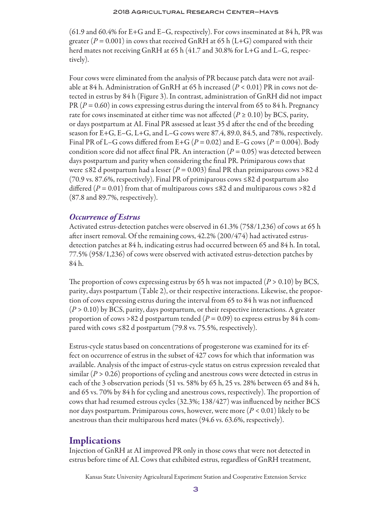#### 2018 Agricultural Research Center–Hays

(61.9 and 60.4% for E+G and E–G, respectively). For cows inseminated at 84 h, PR was greater ( $P = 0.001$ ) in cows that received GnRH at 65 h (L+G) compared with their herd mates not receiving GnRH at 65 h (41.7 and 30.8% for L+G and L–G, respectively).

Four cows were eliminated from the analysis of PR because patch data were not available at 84 h. Administration of GnRH at 65 h increased (*P* < 0.01) PR in cows not detected in estrus by 84 h (Figure 3). In contrast, administration of GnRH did not impact PR (*P* = 0.60) in cows expressing estrus during the interval from 65 to 84 h. Pregnancy rate for cows inseminated at either time was not affected ( $P \ge 0.10$ ) by BCS, parity, or days postpartum at AI. Final PR assessed at least 35 d after the end of the breeding season for E+G, E–G, L+G, and L–G cows were 87.4, 89.0, 84.5, and 78%, respectively. Final PR of L–G cows differed from E+G ( $P = 0.02$ ) and E–G cows ( $P = 0.004$ ). Body condition score did not affect final PR. An interaction ( $P = 0.05$ ) was detected between days postpartum and parity when considering the final PR. Primiparous cows that were ≤82 d postpartum had a lesser ( $P = 0.003$ ) final PR than primiparous cows >82 d (70.9 vs. 87.6%, respectively). Final PR of primiparous cows  $\leq 82$  d postpartum also differed ( $P = 0.01$ ) from that of multiparous cows ≤82 d and multiparous cows >82 d (87.8 and 89.7%, respectively).

## *Occurrence of Estrus*

Activated estrus-detection patches were observed in 61.3% (758/1,236) of cows at 65 h after insert removal. Of the remaining cows, 42.2% (200/474) had activated estrusdetection patches at 84 h, indicating estrus had occurred between 65 and 84 h. In total, 77.5% (958/1,236) of cows were observed with activated estrus-detection patches by 84 h.

The proportion of cows expressing estrus by 65 h was not impacted  $(P > 0.10)$  by BCS, parity, days postpartum (Table 2), or their respective interactions. Likewise, the proportion of cows expressing estrus during the interval from 65 to 84 h was not influenced (*P* > 0.10) by BCS, parity, days postpartum, or their respective interactions. A greater proportion of cows >82 d postpartum tended ( $P = 0.09$ ) to express estrus by 84 h compared with cows ≤82 d postpartum  $(79.8 \text{ vs. } 75.5\%$ , respectively).

Estrus-cycle status based on concentrations of progesterone was examined for its effect on occurrence of estrus in the subset of 427 cows for which that information was available. Analysis of the impact of estrus-cycle status on estrus expression revealed that similar  $(P > 0.26)$  proportions of cycling and anestrous cows were detected in estrus in each of the 3 observation periods (51 vs. 58% by 65 h, 25 vs. 28% between 65 and 84 h, and 65 vs. 70% by 84 h for cycling and anestrous cows, respectively). The proportion of cows that had resumed estrous cycles (32.3%; 138/427) was influenced by neither BCS nor days postpartum. Primiparous cows, however, were more (*P* < 0.01) likely to be anestrous than their multiparous herd mates (94.6 vs. 63.6%, respectively).

## **Implications**

Injection of GnRH at AI improved PR only in those cows that were not detected in estrus before time of AI. Cows that exhibited estrus, regardless of GnRH treatment,

Kansas State University Agricultural Experiment Station and Cooperative Extension Service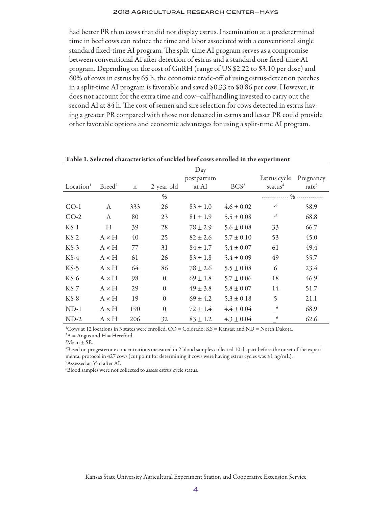#### 2018 Agricultural Research Center–Hays

had better PR than cows that did not display estrus. Insemination at a predetermined time in beef cows can reduce the time and labor associated with a conventional single standard fixed-time AI program. The split-time AI program serves as a compromise between conventional AI after detection of estrus and a standard one fixed-time AI program. Depending on the cost of GnRH (range of US \$2.22 to \$3.10 per dose) and 60% of cows in estrus by 65 h, the economic trade-off of using estrus-detection patches in a split-time AI program is favorable and saved \$0.33 to \$0.86 per cow. However, it does not account for the extra time and cow–calf handling invested to carry out the second AI at 84 h. The cost of semen and sire selection for cows detected in estrus having a greater PR compared with those not detected in estrus and lesser PR could provide other favorable options and economic advantages for using a split-time AI program.

|                       |                    |             |              | Day          |                  | х.           |                   |
|-----------------------|--------------------|-------------|--------------|--------------|------------------|--------------|-------------------|
|                       |                    |             |              | postpartum   |                  | Estrus cycle | Pregnancy         |
| Location <sup>1</sup> | Breed <sup>2</sup> | $\mathbf n$ | 2-year-old   | at AI        | BCS <sup>3</sup> | status $4$   | rate <sup>5</sup> |
|                       |                    |             | $\%$         |              |                  |              |                   |
| $CO-1$                | A                  | 333         | 26           | $83 \pm 1.0$ | $4.6 \pm 0.02$   | $-6$         | 58.9              |
| $CO-2$                | A                  | 80          | 23           | $81 \pm 1.9$ | $5.5 \pm 0.08$   | $-6$         | 68.8              |
| $KS-1$                | $H_{\rm}$          | 39          | 28           | $78 \pm 2.9$ | $5.6 \pm 0.08$   | 33           | 66.7              |
| $KS-2$                | $A \times H$       | 40          | 25           | $82 \pm 2.6$ | $5.7 \pm 0.10$   | 53           | 45.0              |
| $KS-3$                | $A \times H$       | 77          | 31           | $84 \pm 1.7$ | $5.4 \pm 0.07$   | 61           | 49.4              |
| $KS-4$                | $A \times H$       | 61          | 26           | $83 \pm 1.8$ | $5.4 \pm 0.09$   | 49           | 55.7              |
| $KS-5$                | $A \times H$       | 64          | 86           | $78 \pm 2.6$ | $5.5 \pm 0.08$   | 6            | 23.4              |
| $KS-6$                | $A \times H$       | 98          | $\theta$     | $69 \pm 1.8$ | $5.7 \pm 0.06$   | 18           | 46.9              |
| $KS-7$                | $A \times H$       | 29          | $\mathbf{0}$ | $49 \pm 3.8$ | $5.8 \pm 0.07$   | 14           | 51.7              |
| $KS-8$                | $A \times H$       | 19          | $\theta$     | $69 \pm 4.2$ | $5.3 \pm 0.18$   | 5            | 21.1              |
| $ND-1$                | $A \times H$       | 190         | $\mathbf{0}$ | $72 \pm 1.4$ | $4.4 \pm 0.04$   | 6            | 68.9              |
| $ND-2$                | $A \times H$       | 206         | 32           | $83 \pm 1.2$ | $4.3 \pm 0.04$   | 6            | 62.6              |

Table 1. Selected characteristics of suckled beef cows enrolled in the experiment

1 Cows at 12 locations in 3 states were enrolled. CO = Colorado; KS = Kansas; and ND = North Dakota.  $A =$  Angus and H = Hereford.

 ${}^{3}$ Mean  $\pm$  SE.

4 Based on progesterone concentrations measured in 2 blood samples collected 10 d apart before the onset of the experimental protocol in 427 cows (cut point for determining if cows were having estrus cycles was ≥1 ng/mL). 5 Assessed at 35 d after AI.

6 Blood samples were not collected to assess estrus cycle status.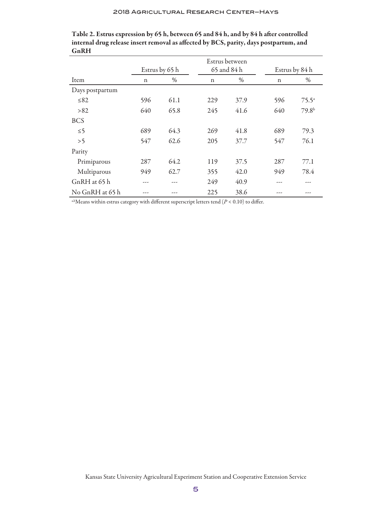|                 |             |                | Estrus between<br>65 and 84 h |      |                |                   |
|-----------------|-------------|----------------|-------------------------------|------|----------------|-------------------|
|                 |             | Estrus by 65 h |                               |      | Estrus by 84 h |                   |
| Item            | $\mathbf n$ | $\%$           | $\mathbf n$                   | $\%$ | $\mathbf n$    | $\%$              |
| Days postpartum |             |                |                               |      |                |                   |
| $\leq 82$       | 596         | 61.1           | 229                           | 37.9 | 596            | $75.5^a$          |
| >82             | 640         | 65.8           | 245                           | 41.6 | 640            | 79.8 <sup>b</sup> |
| <b>BCS</b>      |             |                |                               |      |                |                   |
| $\leq 5$        | 689         | 64.3           | 269                           | 41.8 | 689            | 79.3              |
| >5              | 547         | 62.6           | 205                           | 37.7 | 547            | 76.1              |
| Parity          |             |                |                               |      |                |                   |
| Primiparous     | 287         | 64.2           | 119                           | 37.5 | 287            | 77.1              |
| Multiparous     | 949         | 62.7           | 355                           | 42.0 | 949            | 78.4              |
| GnRH at 65 h    | ---         |                | 249                           | 40.9 | ---            |                   |
| No GnRH at 65 h | ---         | $- - -$        | 225                           | 38.6 | ---            | ---               |

Table 2. Estrus expression by 65 h, between 65 and 84 h, and by 84 h after controlled internal drug release insert removal as affected by BCS, parity, days postpartum, and GnRH

<sup>a,b</sup>Means within estrus category with different superscript letters tend  $(P < 0.10)$  to differ.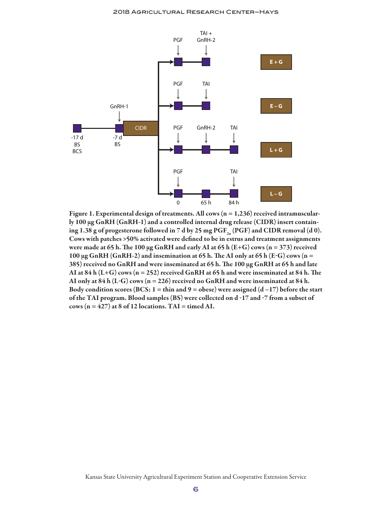

Figure 1. Experimental design of treatments. All cows ( $n = 1,236$ ) received intramuscularly 100 μg GnRH (GnRH-1) and a controlled internal drug release (CIDR) insert containing 1.38 g of progesterone followed in 7 d by 25 mg  $\mathrm{PGF}_{2a}$  (PGF) and CIDR removal (d 0). Cows with patches >50% activated were defined to be in estrus and treatment assignments were made at 65 h. The 100 µg GnRH and early AI at 65 h (E+G) cows (n = 373) received 100  $\mu$ g GnRH (GnRH-2) and insemination at 65 h. The AI only at 65 h (E-G) cows (n = 385) received no GnRH and were inseminated at 65 h. The 100 μg GnRH at 65 h and late AI at  $84$  h (L+G) cows (n = 252) received GnRH at 65 h and were inseminated at  $84$  h. The AI only at  $84$  h (L-G) cows (n = 226) received no GnRH and were inseminated at  $84$  h. Body condition scores (BCS;  $1 = \text{thin}$  and  $9 = \text{obese}$ ) were assigned (d -17) before the start of the TAI program. Blood samples (BS) were collected on d -17 and -7 from a subset of cows  $(n = 427)$  at 8 of 12 locations. TAI = timed AI.